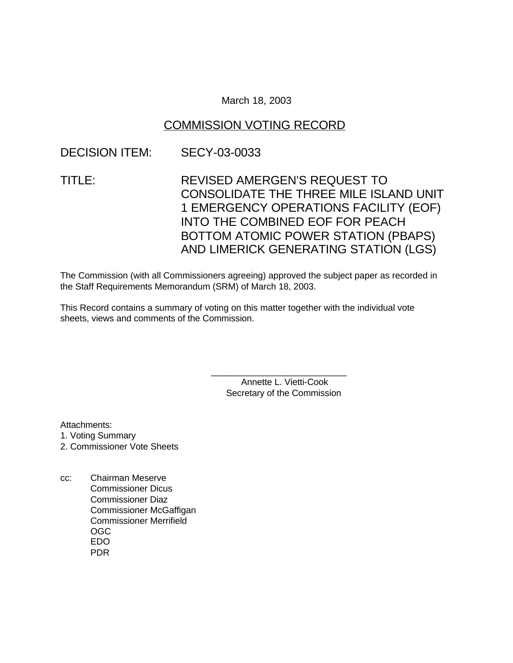### March 18, 2003

### COMMISSION VOTING RECORD

### DECISION ITEM: SECY-03-0033

# TITLE: REVISED AMERGEN'S REQUEST TO CONSOLIDATE THE THREE MILE ISLAND UNIT 1 EMERGENCY OPERATIONS FACILITY (EOF) INTO THE COMBINED EOF FOR PEACH BOTTOM ATOMIC POWER STATION (PBAPS) AND LIMERICK GENERATING STATION (LGS)

The Commission (with all Commissioners agreeing) approved the subject paper as recorded in the Staff Requirements Memorandum (SRM) of March 18, 2003.

This Record contains a summary of voting on this matter together with the individual vote sheets, views and comments of the Commission.

> Annette L. Vietti-Cook Secretary of the Commission

\_\_\_\_\_\_\_\_\_\_\_\_\_\_\_\_\_\_\_\_\_\_\_\_\_\_\_

Attachments:

- 1. Voting Summary
- 2. Commissioner Vote Sheets
- cc: Chairman Meserve Commissioner Dicus Commissioner Diaz Commissioner McGaffigan Commissioner Merrifield OGC EDO PDR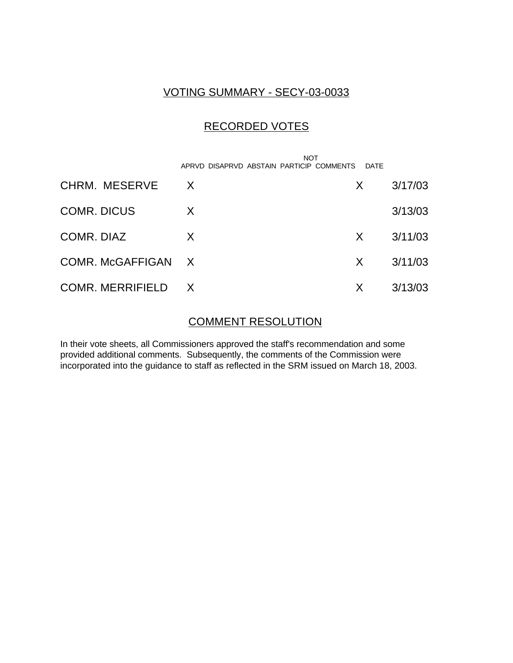### VOTING SUMMARY - SECY-03-0033

## RECORDED VOTES

|                         | <b>NOT</b><br>APRVD DISAPRVD ABSTAIN PARTICIP COMMENTS | <b>DATF</b>  |         |
|-------------------------|--------------------------------------------------------|--------------|---------|
| CHRM. MESERVE           | X                                                      | X.           | 3/17/03 |
| <b>COMR. DICUS</b>      | X                                                      |              | 3/13/03 |
| COMR. DIAZ              | X                                                      | X            | 3/11/03 |
| COMR. McGAFFIGAN X      |                                                        | $\mathsf{X}$ | 3/11/03 |
| <b>COMR. MERRIFIELD</b> | X                                                      | X            | 3/13/03 |

### COMMENT RESOLUTION

In their vote sheets, all Commissioners approved the staff's recommendation and some provided additional comments. Subsequently, the comments of the Commission were incorporated into the guidance to staff as reflected in the SRM issued on March 18, 2003.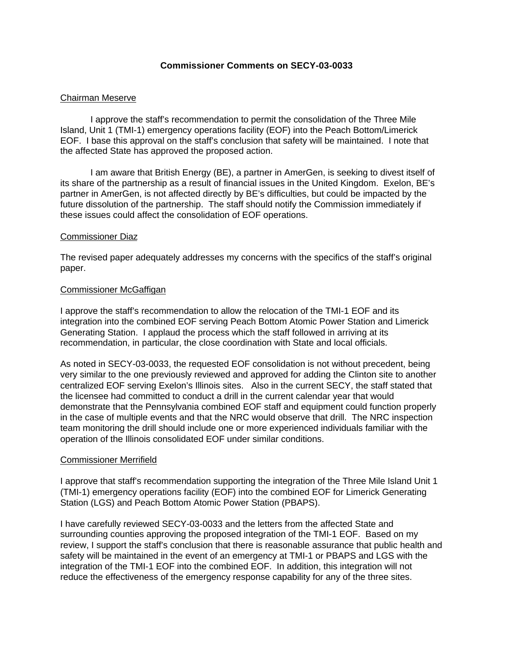#### **Commissioner Comments on SECY-03-0033**

#### Chairman Meserve

I approve the staff's recommendation to permit the consolidation of the Three Mile Island, Unit 1 (TMI-1) emergency operations facility (EOF) into the Peach Bottom/Limerick EOF. I base this approval on the staff's conclusion that safety will be maintained. I note that the affected State has approved the proposed action.

I am aware that British Energy (BE), a partner in AmerGen, is seeking to divest itself of its share of the partnership as a result of financial issues in the United Kingdom. Exelon, BE's partner in AmerGen, is not affected directly by BE's difficulties, but could be impacted by the future dissolution of the partnership. The staff should notify the Commission immediately if these issues could affect the consolidation of EOF operations.

#### Commissioner Diaz

The revised paper adequately addresses my concerns with the specifics of the staff's original paper.

#### Commissioner McGaffigan

I approve the staff's recommendation to allow the relocation of the TMI-1 EOF and its integration into the combined EOF serving Peach Bottom Atomic Power Station and Limerick Generating Station. I applaud the process which the staff followed in arriving at its recommendation, in particular, the close coordination with State and local officials.

As noted in SECY-03-0033, the requested EOF consolidation is not without precedent, being very similar to the one previously reviewed and approved for adding the Clinton site to another centralized EOF serving Exelon's Illinois sites. Also in the current SECY, the staff stated that the licensee had committed to conduct a drill in the current calendar year that would demonstrate that the Pennsylvania combined EOF staff and equipment could function properly in the case of multiple events and that the NRC would observe that drill. The NRC inspection team monitoring the drill should include one or more experienced individuals familiar with the operation of the Illinois consolidated EOF under similar conditions.

#### Commissioner Merrifield

I approve that staff's recommendation supporting the integration of the Three Mile Island Unit 1 (TMI-1) emergency operations facility (EOF) into the combined EOF for Limerick Generating Station (LGS) and Peach Bottom Atomic Power Station (PBAPS).

I have carefully reviewed SECY-03-0033 and the letters from the affected State and surrounding counties approving the proposed integration of the TMI-1 EOF. Based on my review, I support the staff's conclusion that there is reasonable assurance that public health and safety will be maintained in the event of an emergency at TMI-1 or PBAPS and LGS with the integration of the TMI-1 EOF into the combined EOF. In addition, this integration will not reduce the effectiveness of the emergency response capability for any of the three sites.